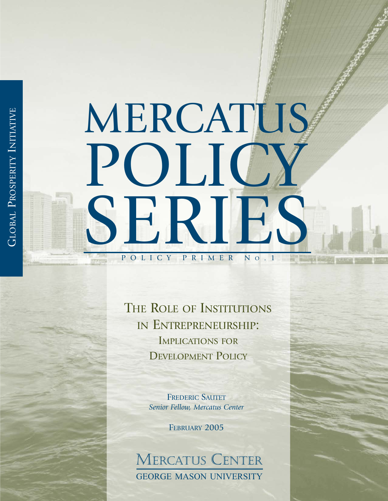# MERCATUS POLICY SERIES POLICY PRIMER NO. 1

THE ROLE OF INSTITUTIONS IN ENTREPRENEURSHIP: IMPLICATIONS FOR DEVELOPMENT POLICY

> FREDERIC SAUTET *Senior Fellow, Mercatus Center*

> > FEBRUARY 2005

MERCATUS CENTER GEORGE MASON UNIVERSITY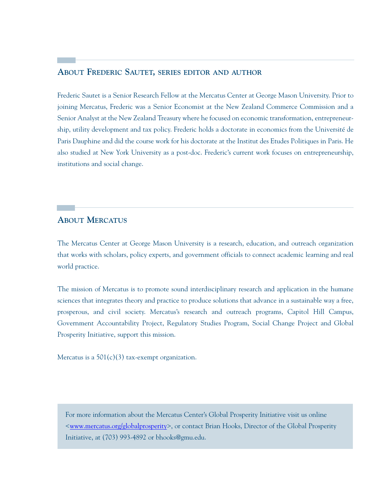#### **ABOUT FREDERIC SAUTET, SERIES EDITOR AND AUTHOR**

Frederic Sautet is a Senior Research Fellow at the Mercatus Center at George Mason University. Prior to joining Mercatus, Frederic was a Senior Economist at the New Zealand Commerce Commission and a Senior Analyst at the New Zealand Treasury where he focused on economic transformation, entrepreneurship, utility development and tax policy. Frederic holds a doctorate in economics from the Université de Paris Dauphine and did the course work for his doctorate at the Institut des Etudes Politiques in Paris. He also studied at New York University as a post-doc. Frederic's current work focuses on entrepreneurship, institutions and social change.

# **ABOUT MERCATUS**

The Mercatus Center at George Mason University is a research, education, and outreach organization that works with scholars, policy experts, and government officials to connect academic learning and real world practice.

The mission of Mercatus is to promote sound interdisciplinary research and application in the humane sciences that integrates theory and practice to produce solutions that advance in a sustainable way a free, prosperous, and civil society. Mercatus's research and outreach programs, Capitol Hill Campus, Government Accountability Project, Regulatory Studies Program, Social Change Project and Global Prosperity Initiative, support this mission.

Mercatus is a  $501(c)(3)$  tax-exempt organization.

For more information about the Mercatus Center's Global Prosperity Initiative visit us online [<www.mercatus.org/globalprosperity>](www.mercatus.org/globalprosperity), or contact Brian Hooks, Director of the Global Prosperity Initiative, at (703) 993-4892 or bhooks@gmu.edu.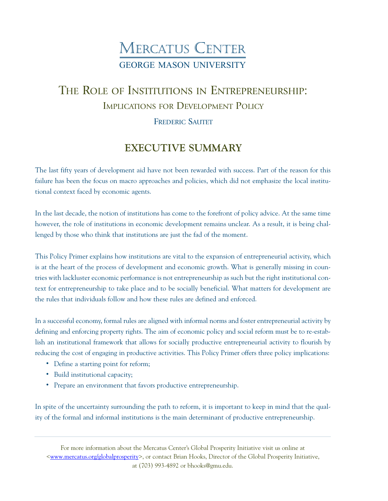# MERCATUS CENTER GEORGE MASON UNIVERSITY

# THE ROLE OF INSTITUTIONS IN ENTREPRENEURSHIP: IMPLICATIONS FOR DEVELOPMENT POLICY

# FREDERIC SAUTET

# **EXECUTIVE SUMMARY**

The last fifty years of development aid have not been rewarded with success. Part of the reason for this failure has been the focus on macro approaches and policies, which did not emphasize the local institutional context faced by economic agents.

In the last decade, the notion of institutions has come to the forefront of policy advice. At the same time however, the role of institutions in economic development remains unclear. As a result, it is being challenged by those who think that institutions are just the fad of the moment.

This Policy Primer explains how institutions are vital to the expansion of entrepreneurial activity, which is at the heart of the process of development and economic growth. What is generally missing in countries with lackluster economic performance is not entrepreneurship as such but the right institutional context for entrepreneurship to take place and to be socially beneficial. What matters for development are the rules that individuals follow and how these rules are defined and enforced.

In a successful economy, formal rules are aligned with informal norms and foster entrepreneurial activity by defining and enforcing property rights. The aim of economic policy and social reform must be to re-establish an institutional framework that allows for socially productive entrepreneurial activity to flourish by reducing the cost of engaging in productive activities. This Policy Primer offers three policy implications:

- Define a starting point for reform;
- Build institutional capacity;
- Prepare an environment that favors productive entrepreneurship.

In spite of the uncertainty surrounding the path to reform, it is important to keep in mind that the quality of the formal and informal institutions is the main determinant of productive entrepreneurship.

For more information about the Mercatus Center's Global Prosperity Initiative visit us online at [<www.mercatus.org/globalprosperity>](www.mercatus.org/globalprosperity), or contact Brian Hooks, Director of the Global Prosperity Initiative, at (703) 993-4892 or bhooks@gmu.edu.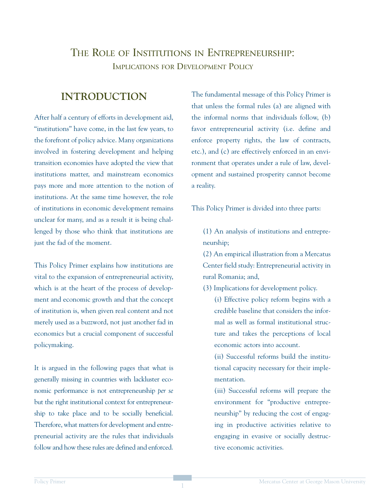# THE ROLE OF INSTITUTIONS IN ENTREPRENEURSHIP: IMPLICATIONS FOR DEVELOPMENT POLICY

# **INTRODUCTION**

After half a century of efforts in development aid, "institutions" have come, in the last few years, to the forefront of policy advice. Many organizations involved in fostering development and helping transition economies have adopted the view that institutions matter, and mainstream economics pays more and more attention to the notion of institutions. At the same time however, the role of institutions in economic development remains unclear for many, and as a result it is being challenged by those who think that institutions are just the fad of the moment.

This Policy Primer explains how institutions are vital to the expansion of entrepreneurial activity, which is at the heart of the process of development and economic growth and that the concept of institution is, when given real content and not merely used as a buzzword, not just another fad in economics but a crucial component of successful policymaking.

It is argued in the following pages that what is generally missing in countries with lackluster economic performance is not entrepreneurship *per se* but the right institutional context for entrepreneurship to take place and to be socially beneficial. Therefore, what matters for development and entrepreneurial activity are the rules that individuals follow and how these rules are defined and enforced.

The fundamental message of this Policy Primer is that unless the formal rules (a) are aligned with the informal norms that individuals follow, (b) favor entrepreneurial activity (i.e. define and enforce property rights, the law of contracts, etc.), and (c) are effectively enforced in an environment that operates under a rule of law, development and sustained prosperity cannot become a reality.

This Policy Primer is divided into three parts:

(1) An analysis of institutions and entrepreneurship;

(2) An empirical illustration from a Mercatus Center field study: Entrepreneurial activity in rural Romania; and,

(3) Implications for development policy.

(i) Effective policy reform begins with a credible baseline that considers the informal as well as formal institutional structure and takes the perceptions of local economic actors into account.

(ii) Successful reforms build the institutional capacity necessary for their implementation.

(iii) Successful reforms will prepare the environment for "productive entrepreneurship" by reducing the cost of engaging in productive activities relative to engaging in evasive or socially destructive economic activities.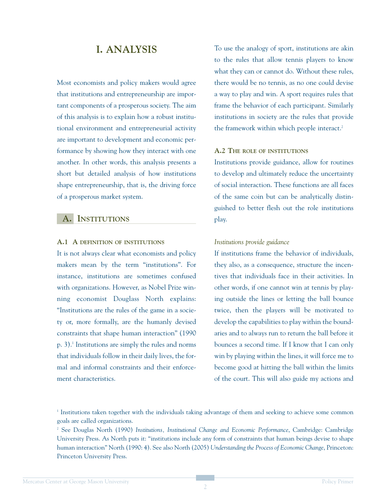# **I. ANALYSIS**

Most economists and policy makers would agree that institutions and entrepreneurship are important components of a prosperous society. The aim of this analysis is to explain how a robust institutional environment and entrepreneurial activity are important to development and economic performance by showing how they interact with one another. In other words, this analysis presents a short but detailed analysis of how institutions shape entrepreneurship, that is, the driving force of a prosperous market system.

#### **A. INSTITUTIONS**

#### **A.1 A DEFINITION OF INSTITUTIONS**

It is not always clear what economists and policy makers mean by the term "institutions". For instance, institutions are sometimes confused with organizations. However, as Nobel Prize winning economist Douglass North explains: "Institutions are the rules of the game in a society or, more formally, are the humanly devised constraints that shape human interaction" (1990 p. 3).1 Institutions are simply the rules and norms that individuals follow in their daily lives, the formal and informal constraints and their enforcement characteristics.

To use the analogy of sport, institutions are akin to the rules that allow tennis players to know what they can or cannot do. Without these rules, there would be no tennis, as no one could devise a way to play and win. A sport requires rules that frame the behavior of each participant. Similarly institutions in society are the rules that provide the framework within which people interact.<sup>2</sup>

#### **A.2 THE ROLE OF INSTITUTIONS**

Institutions provide guidance, allow for routines to develop and ultimately reduce the uncertainty of social interaction. These functions are all faces of the same coin but can be analytically distinguished to better flesh out the role institutions play.

#### *Institutions provide guidance*

If institutions frame the behavior of individuals, they also, as a consequence, structure the incentives that individuals face in their activities. In other words, if one cannot win at tennis by playing outside the lines or letting the ball bounce twice, then the players will be motivated to develop the capabilities to play within the boundaries and to always run to return the ball before it bounces a second time. If I know that I can only win by playing within the lines, it will force me to become good at hitting the ball within the limits of the court. This will also guide my actions and

<sup>1</sup> Institutions taken together with the individuals taking advantage of them and seeking to achieve some common goals are called organizations.

<sup>2</sup> See Douglas North (1990) *Institutions, Institutional Change and Economic Performance*, Cambridge: Cambridge University Press. As North puts it: "institutions include any form of constraints that human beings devise to shape human interaction" North (1990: 4). See also North (2005) *Understanding the Process of Economic Change*, Princeton: Princeton University Press.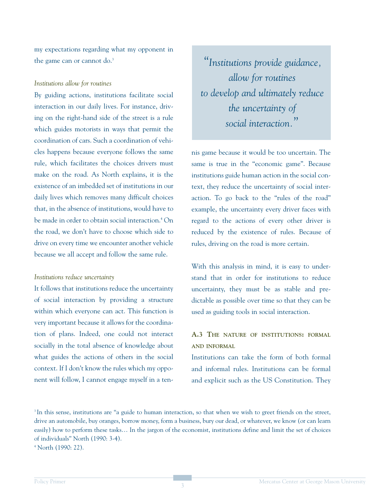my expectations regarding what my opponent in the game can or cannot do.<sup>3</sup>

#### *Institutions allow for routines*

By guiding actions, institutions facilitate social interaction in our daily lives. For instance, driving on the right-hand side of the street is a rule which guides motorists in ways that permit the coordination of cars. Such a coordination of vehicles happens because everyone follows the same rule, which facilitates the choices drivers must make on the road. As North explains, it is the existence of an imbedded set of institutions in our daily lives which removes many difficult choices that, in the absence of institutions, would have to be made in order to obtain social interaction.<sup>4</sup> On the road, we don't have to choose which side to drive on every time we encounter another vehicle because we all accept and follow the same rule.

#### *Institutions reduce uncertainty*

It follows that institutions reduce the uncertainty of social interaction by providing a structure within which everyone can act. This function is very important because it allows for the coordination of plans. Indeed, one could not interact socially in the total absence of knowledge about what guides the actions of others in the social context. If I don't know the rules which my opponent will follow, I cannot engage myself in a ten-

*"Institutions provide guidance, allow for routines to develop and ultimately reduce the uncertainty of social interaction."*

nis game because it would be too uncertain. The same is true in the "economic game". Because institutions guide human action in the social context, they reduce the uncertainty of social interaction. To go back to the "rules of the road" example, the uncertainty every driver faces with regard to the actions of every other driver is reduced by the existence of rules. Because of rules, driving on the road is more certain.

With this analysis in mind, it is easy to understand that in order for institutions to reduce uncertainty, they must be as stable and predictable as possible over time so that they can be used as guiding tools in social interaction.

# **A.3 THE NATURE OF INSTITUTIONS: FORMAL AND INFORMAL**

Institutions can take the form of both formal and informal rules. Institutions can be formal and explicit such as the US Constitution. They

<sup>&</sup>lt;sup>3</sup> In this sense, institutions are "a guide to human interaction, so that when we wish to greet friends on the street, drive an automobile, buy oranges, borrow money, form a business, bury our dead, or whatever, we know (or can learn easily) how to perform these tasks… In the jargon of the economist, institutions define and limit the set of choices of individuals" North (1990: 3-4).

<sup>4</sup> North (1990: 22).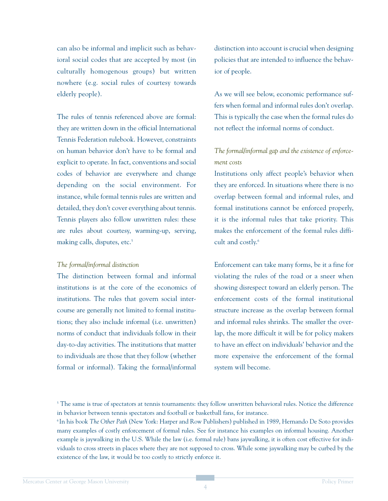can also be informal and implicit such as behavioral social codes that are accepted by most (in culturally homogenous groups) but written nowhere (e.g. social rules of courtesy towards elderly people).

The rules of tennis referenced above are formal: they are written down in the official International Tennis Federation rulebook. However, constraints on human behavior don't have to be formal and explicit to operate. In fact, conventions and social codes of behavior are everywhere and change depending on the social environment. For instance, while formal tennis rules are written and detailed, they don't cover everything about tennis. Tennis players also follow unwritten rules: these are rules about courtesy, warming-up, serving, making calls, disputes, etc.<sup>5</sup>

#### *The formal/informal distinction*

The distinction between formal and informal institutions is at the core of the economics of institutions. The rules that govern social intercourse are generally not limited to formal institutions; they also include informal (i.e. unwritten) norms of conduct that individuals follow in their day-to-day activities. The institutions that matter to individuals are those that they follow (whether formal or informal). Taking the formal/informal distinction into account is crucial when designing policies that are intended to influence the behavior of people.

As we will see below, economic performance suffers when formal and informal rules don't overlap. This is typically the case when the formal rules do not reflect the informal norms of conduct.

# *The formal/informal gap and the existence of enforcement costs*

Institutions only affect people's behavior when they are enforced. In situations where there is no overlap between formal and informal rules, and formal institutions cannot be enforced properly, it is the informal rules that take priority. This makes the enforcement of the formal rules difficult and costly.6

Enforcement can take many forms, be it a fine for violating the rules of the road or a sneer when showing disrespect toward an elderly person. The enforcement costs of the formal institutional structure increase as the overlap between formal and informal rules shrinks. The smaller the overlap, the more difficult it will be for policy makers to have an effect on individuals' behavior and the more expensive the enforcement of the formal system will become.

<sup>&</sup>lt;sup>5</sup> The same is true of spectators at tennis tournaments: they follow unwritten behavioral rules. Notice the difference in behavior between tennis spectators and football or basketball fans, for instance.

<sup>6</sup> In his book *The Other Path* (New York: Harper and Row Publishers) published in 1989, Hernando De Soto provides many examples of costly enforcement of formal rules. See for instance his examples on informal housing. Another example is jaywalking in the U.S. While the law (i.e. formal rule) bans jaywalking, it is often cost effective for individuals to cross streets in places where they are not supposed to cross. While some jaywalking may be curbed by the existence of the law, it would be too costly to strictly enforce it.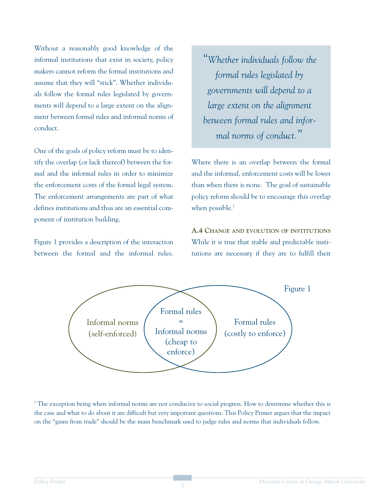Without a reasonably good knowledge of the informal institutions that exist in society, policy makers cannot reform the formal institutions and assume that they will "stick". Whether individuals follow the formal rules legislated by governments will depend to a large extent on the alignment between formal rules and informal norms of conduct.

One of the goals of policy reform must be to identify the overlap (or lack thereof) between the formal and the informal rules in order to minimize the enforcement costs of the formal legal system. The enforcement arrangements are part of what defines institutions and thus are an essential component of institution building.

Figure 1 provides a description of the interaction between the formal and the informal rules.

*"Whether individuals follow the formal rules legislated by governments will depend to a large extent on the alignment between formal rules and informal norms of conduct."*

Where there is an overlap between the formal and the informal, enforcement costs will be lower than when there is none. The goal of sustainable policy reform should be to encourage this overlap when possible.<sup>7</sup>

**A.4 CHANGE AND EVOLUTION OF INSTITUTIONS** While it is true that stable and predictable institutions are necessary if they are to fulfill their



<sup>&</sup>lt;sup>7</sup> The exception being when informal norms are not conducive to social progress. How to determine whether this is the case and what to do about it are difficult but very important questions. This Policy Primer argues that the impact on the "gains from trade" should be the main benchmark used to judge rules and norms that individuals follow.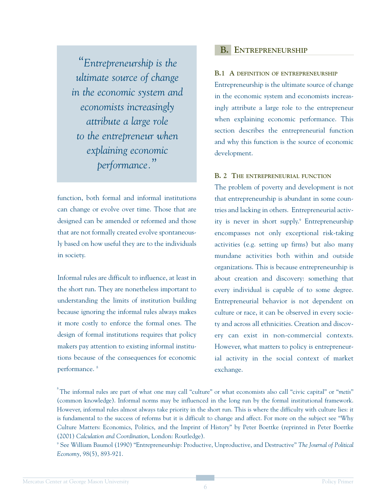*"Entrepreneurship is the ultimate source of change in the economic system and economists increasingly attribute a large role to the entrepreneur when explaining economic performance."*

function, both formal and informal institutions can change or evolve over time. Those that are designed can be amended or reformed and those that are not formally created evolve spontaneously based on how useful they are to the individuals in society.

Informal rules are difficult to influence, at least in the short run. They are nonetheless important to understanding the limits of institution building because ignoring the informal rules always makes it more costly to enforce the formal ones. The design of formal institutions requires that policy makers pay attention to existing informal institutions because of the consequences for economic performance. <sup>8</sup>

## **B. ENTREPRENEURSHIP**

#### **B.1 A DEFINITION OF ENTREPRENEURSHIP**

Entrepreneurship is the ultimate source of change in the economic system and economists increasingly attribute a large role to the entrepreneur when explaining economic performance. This section describes the entrepreneurial function and why this function is the source of economic development.

#### **B. 2 THE ENTREPRENEURIAL FUNCTION**

The problem of poverty and development is not that entrepreneurship is abundant in some countries and lacking in others. Entrepreneurial activity is never in short supply.<sup>9</sup> Entrepreneurship encompasses not only exceptional risk-taking activities (e.g. setting up firms) but also many mundane activities both within and outside organizations. This is because entrepreneurship is about creation and discovery: something that every individual is capable of to some degree. Entrepreneurial behavior is not dependent on culture or race, it can be observed in every society and across all ethnicities. Creation and discovery can exist in non-commercial contexts. However, what matters to policy is entrepreneurial activity in the social context of market exchange.

8 The informal rules are part of what one may call "culture" or what economists also call "civic capital" or "*metis*" (common knowledge). Informal norms may be influenced in the long run by the formal institutional framework. However, informal rules almost always take priority in the short run. This is where the difficulty with culture lies: it is fundamental to the success of reforms but it is difficult to change and affect. For more on the subject see "Why Culture Matters: Economics, Politics, and the Imprint of History" by Peter Boettke (reprinted in Peter Boettke (2001) *Calculation and Coordination*, London: Routledge).

<sup>9</sup> See William Baumol (1990) "Entrepreneurship: Productive, Unproductive, and Destructive" *The Journal of Political Economy*, 98(5), 893-921.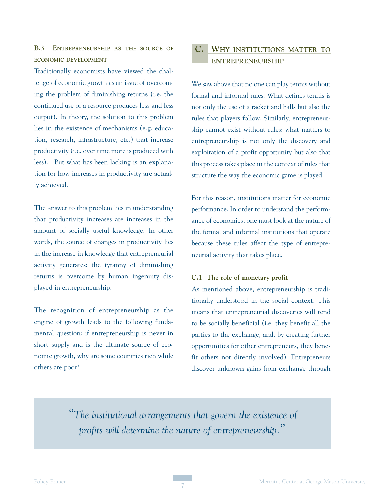## **B.3 ENTREPRENEURSHIP AS THE SOURCE OF ECONOMIC DEVELOPMENT**

Traditionally economists have viewed the challenge of economic growth as an issue of overcoming the problem of diminishing returns (i.e. the continued use of a resource produces less and less output). In theory, the solution to this problem lies in the existence of mechanisms (e.g. education, research, infrastructure, etc.) that increase productivity (i.e. over time more is produced with less). But what has been lacking is an explanation for how increases in productivity are actually achieved.

The answer to this problem lies in understanding that productivity increases are increases in the amount of socially useful knowledge. In other words, the source of changes in productivity lies in the increase in knowledge that entrepreneurial activity generates: the tyranny of diminishing returns is overcome by human ingenuity displayed in entrepreneurship.

The recognition of entrepreneurship as the engine of growth leads to the following fundamental question: if entrepreneurship is never in short supply and is the ultimate source of economic growth, why are some countries rich while others are poor?

# **C. WHY INSTITUTIONS MATTER TO ENTREPRENEURSHIP**

We saw above that no one can play tennis without formal and informal rules. What defines tennis is not only the use of a racket and balls but also the rules that players follow. Similarly, entrepreneurship cannot exist without rules: what matters to entrepreneurship is not only the discovery and exploitation of a profit opportunity but also that this process takes place in the context of rules that structure the way the economic game is played.

For this reason, institutions matter for economic performance. In order to understand the performance of economies, one must look at the nature of the formal and informal institutions that operate because these rules affect the type of entrepreneurial activity that takes place.

#### **C.1 The role of monetary profit**

As mentioned above, entrepreneurship is traditionally understood in the social context. This means that entrepreneurial discoveries will tend to be socially beneficial (i.e. they benefit all the parties to the exchange, and, by creating further opportunities for other entrepreneurs, they benefit others not directly involved). Entrepreneurs discover unknown gains from exchange through

*"The institutional arrangements that govern the existence of profits will determine the nature of entrepreneurship."*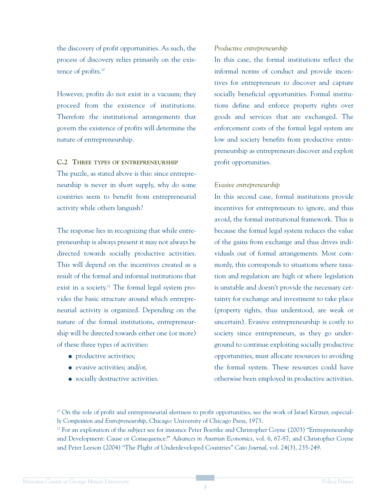the discovery of profit opportunities. As such, the process of discovery relies primarily on the existence of profits.10

However, profits do not exist in a vacuum; they proceed from the existence of institutions. Therefore the institutional arrangements that govern the existence of profits will determine the nature of entrepreneurship.

**C.2 THREE TYPES OF ENTREPRENEURSHIP**

The puzzle, as stated above is this: since entrepreneurship is never in short supply, why do some countries seem to benefit from entrepreneurial activity while others languish?

The response lies in recognizing that while entrepreneurship is always present it may not always be directed towards socially productive activities. This will depend on the incentives created as a result of the formal and informal institutions that exist in a society.<sup>11</sup> The formal legal system provides the basic structure around which entrepreneurial activity is organized. Depending on the nature of the formal institutions, entrepreneurship will be directed towards either one (or more) of these three types of activities:

- productive activities:
- $\bullet$  evasive activities; and/or,
- socially destructive activities.

#### *Productive entrepreneurship*

In this case, the formal institutions reflect the informal norms of conduct and provide incentives for entrepreneurs to discover and capture socially beneficial opportunities. Formal institutions define and enforce property rights over goods and services that are exchanged. The enforcement costs of the formal legal system are low and society benefits from productive entrepreneurship as entrepreneurs discover and exploit profit opportunities.

#### *Evasive entrepreneurship*

In this second case, formal institutions provide incentives for entrepreneurs to ignore, and thus avoid, the formal institutional framework. This is because the formal legal system reduces the value of the gains from exchange and thus drives individuals out of formal arrangements. Most commonly, this corresponds to situations where taxation and regulation are high or where legislation is unstable and doesn't provide the necessary certainty for exchange and investment to take place (property rights, thus understood, are weak or uncertain). Evasive entrepreneurship is costly to society since entrepreneurs, as they go underground to continue exploiting socially productive opportunities, must allocate resources to avoiding the formal system. These resources could have otherwise been employed in productive activities.

 $10$  On the role of profit and entrepreneurial alertness to profit opportunities, see the work of Israel Kirzner, especially *Competition and Entrepreneurship*, Chicago: University of Chicago Press, 1973.

<sup>11</sup> For an exploration of the subject see for instance Peter Boettke and Christopher Coyne (2003) "Entrepreneurship and Development: Cause or Consequence?" *Advances in Austrian Economics*, vol. 6, 67-87; and Christopher Coyne and Peter Leeson (2004) "The Plight of Underdeveloped Countries" *Cato Journal*, vol. 24(3), 235-249.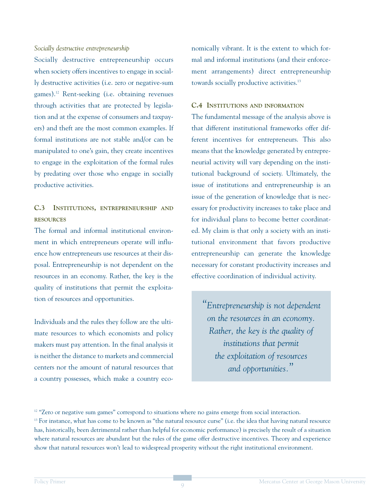*Socially destructive entrepreneurship*

Socially destructive entrepreneurship occurs when society offers incentives to engage in socially destructive activities (i.e. zero or negative-sum games).12 Rent-seeking (i.e. obtaining revenues through activities that are protected by legislation and at the expense of consumers and taxpayers) and theft are the most common examples. If formal institutions are not stable and/or can be manipulated to one's gain, they create incentives to engage in the exploitation of the formal rules by predating over those who engage in socially productive activities.

# **C.3 INSTITUTIONS, ENTREPRENEURSHIP AND RESOURCES**

The formal and informal institutional environment in which entrepreneurs operate will influence how entrepreneurs use resources at their disposal. Entrepreneurship is not dependent on the resources in an economy. Rather, the key is the quality of institutions that permit the exploitation of resources and opportunities.

Individuals and the rules they follow are the ultimate resources to which economists and policy makers must pay attention. In the final analysis it is neither the distance to markets and commercial centers nor the amount of natural resources that a country possesses, which make a country economically vibrant. It is the extent to which formal and informal institutions (and their enforcement arrangements) direct entrepreneurship towards socially productive activities.<sup>13</sup>

#### **C.4 INSTITUTIONS AND INFORMATION**

The fundamental message of the analysis above is that different institutional frameworks offer different incentives for entrepreneurs. This also means that the knowledge generated by entrepreneurial activity will vary depending on the institutional background of society. Ultimately, the issue of institutions and entrepreneurship is an issue of the generation of knowledge that is necessary for productivity increases to take place and for individual plans to become better coordinated. My claim is that only a society with an institutional environment that favors productive entrepreneurship can generate the knowledge necessary for constant productivity increases and effective coordination of individual activity.

*"Entrepreneurship is not dependent on the resources in an economy. Rather, the key is the quality of institutions that permit the exploitation of resources and opportunities."*

 $12$  "Zero or negative sum games" correspond to situations where no gains emerge from social interaction. <sup>13</sup> For instance, what has come to be known as "the natural resource curse" (i.e. the idea that having natural resource has, historically, been detrimental rather than helpful for economic performance) is precisely the result of a situation where natural resources are abundant but the rules of the game offer destructive incentives. Theory and experience show that natural resources won't lead to widespread prosperity without the right institutional environment.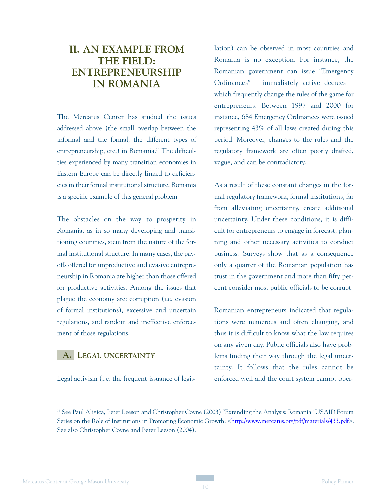# **II. AN EXAMPLE FROM THE FIELD: ENTREPRENEURSHIP IN ROMANIA**

The Mercatus Center has studied the issues addressed above (the small overlap between the informal and the formal, the different types of entrepreneurship, etc.) in Romania.14 The difficulties experienced by many transition economies in Eastern Europe can be directly linked to deficiencies in their formal institutional structure. Romania is a specific example of this general problem.

The obstacles on the way to prosperity in Romania, as in so many developing and transitioning countries, stem from the nature of the formal institutional structure. In many cases, the payoffs offered for unproductive and evasive entrepreneurship in Romania are higher than those offered for productive activities. Among the issues that plague the economy are: corruption (i.e. evasion of formal institutions), excessive and uncertain regulations, and random and ineffective enforcement of those regulations.

## **A. LEGAL UNCERTAINTY**

Legal activism (i.e. the frequent issuance of legis-

lation) can be observed in most countries and Romania is no exception. For instance, the Romanian government can issue "Emergency Ordinances" – immediately active decrees – which frequently change the rules of the game for entrepreneurs. Between 1997 and 2000 for instance, 684 Emergency Ordinances were issued representing 43% of all laws created during this period. Moreover, changes to the rules and the regulatory framework are often poorly drafted, vague, and can be contradictory.

As a result of these constant changes in the formal regulatory framework, formal institutions, far from alleviating uncertainty, create additional uncertainty. Under these conditions, it is difficult for entrepreneurs to engage in forecast, planning and other necessary activities to conduct business. Surveys show that as a consequence only a quarter of the Romanian population has trust in the government and more than fifty percent consider most public officials to be corrupt.

Romanian entrepreneurs indicated that regulations were numerous and often changing, and thus it is difficult to know what the law requires on any given day. Public officials also have problems finding their way through the legal uncertainty. It follows that the rules cannot be enforced well and the court system cannot oper-

<sup>14</sup> See Paul Aligica, Peter Leeson and Christopher Coyne (2003) "Extending the Analysis: Romania" USAID Forum Series on the Role of Institutions in Promoting Economic Growth: [<http://www.mercatus.org/pdf/materials/433.pdf>](http://www.mercatus.org/pdf/materials/433.pdf). See also Christopher Coyne and Peter Leeson (2004).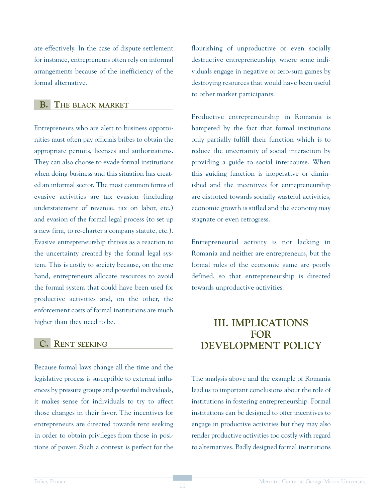ate effectively. In the case of dispute settlement for instance, entrepreneurs often rely on informal arrangements because of the inefficiency of the formal alternative.

## **B. THE BLACK MARKET**

Entrepreneurs who are alert to business opportunities must often pay officials bribes to obtain the appropriate permits, licenses and authorizations. They can also choose to evade formal institutions when doing business and this situation has created an informal sector. The most common forms of evasive activities are tax evasion (including understatement of revenue, tax on labor, etc.) and evasion of the formal legal process (to set up a new firm, to re-charter a company statute, etc.). Evasive entrepreneurship thrives as a reaction to the uncertainty created by the formal legal system. This is costly to society because, on the one hand, entrepreneurs allocate resources to avoid the formal system that could have been used for productive activities and, on the other, the enforcement costs of formal institutions are much higher than they need to be.

## **C. RENT SEEKING**

Because formal laws change all the time and the legislative process is susceptible to external influences by pressure groups and powerful individuals, it makes sense for individuals to try to affect those changes in their favor. The incentives for entrepreneurs are directed towards rent seeking in order to obtain privileges from those in positions of power. Such a context is perfect for the

flourishing of unproductive or even socially destructive entrepreneurship, where some individuals engage in negative or zero-sum games by destroying resources that would have been useful to other market participants.

Productive entrepreneurship in Romania is hampered by the fact that formal institutions only partially fulfill their function which is to reduce the uncertainty of social interaction by providing a guide to social intercourse. When this guiding function is inoperative or diminished and the incentives for entrepreneurship are distorted towards socially wasteful activities, economic growth is stifled and the economy may stagnate or even retrogress.

Entrepreneurial activity is not lacking in Romania and neither are entrepreneurs, but the formal rules of the economic game are poorly defined, so that entrepreneurship is directed towards unproductive activities.

# **III. IMPLICATIONS FOR DEVELOPMENT POLICY**

The analysis above and the example of Romania lead us to important conclusions about the role of institutions in fostering entrepreneurship. Formal institutions can be designed to offer incentives to engage in productive activities but they may also render productive activities too costly with regard to alternatives. Badly designed formal institutions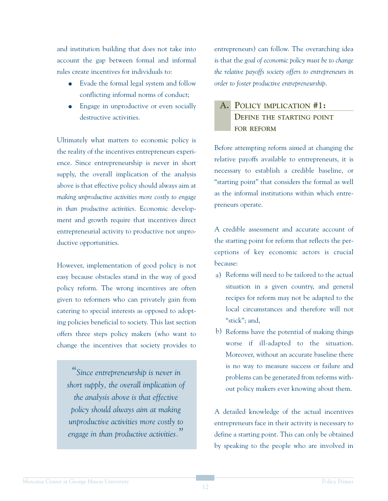and institution building that does not take into account the gap between formal and informal rules create incentives for individuals to:

- Evade the formal legal system and follow conflicting informal norms of conduct;
- Engage in unproductive or even socially destructive activities.

Ultimately what matters to economic policy is the reality of the incentives entrepreneurs experience. Since entrepreneurship is never in short supply, the overall implication of the analysis above is that effective policy should always aim at *making unproductive activities more costly to engage in than productive activities*. Economic development and growth require that incentives direct entrepreneurial activity to productive not unproductive opportunities.

However, implementation of good policy is not easy because obstacles stand in the way of good policy reform. The wrong incentives are often given to reformers who can privately gain from catering to special interests as opposed to adopting policies beneficial to society. This last section offers three steps policy makers (who want to change the incentives that society provides to

*"Since entrepreneurship is never in short supply, the overall implication of the analysis above is that effective policy should always aim at making unproductive activities more costly to engage in than productive activities."*

entrepreneurs) can follow. The overarching idea is that the *goal of economic policy must be to change the relative payoffs society offers to entrepreneurs in order to foster productive entrepreneurship*.

# **A. POLICY IMPLICATION #1: DEFINE THE STARTING POINT FOR REFORM**

Before attempting reform aimed at changing the relative payoffs available to entrepreneurs, it is necessary to establish a credible baseline, or "starting point" that considers the formal as well as the informal institutions within which entrepreneurs operate.

A credible assessment and accurate account of the starting point for reform that reflects the perceptions of key economic actors is crucial because:

- a) Reforms will need to be tailored to the actual situation in a given country, and general recipes for reform may not be adapted to the local circumstances and therefore will not "stick"; and,
- b) Reforms have the potential of making things worse if ill-adapted to the situation. Moreover, without an accurate baseline there is no way to measure success or failure and problems can be generated from reforms without policy makers ever knowing about them.

A detailed knowledge of the actual incentives entrepreneurs face in their activity is necessary to define a starting point. This can only be obtained by speaking to the people who are involved in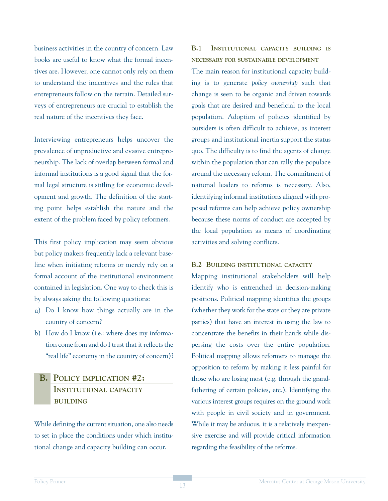business activities in the country of concern. Law books are useful to know what the formal incentives are. However, one cannot only rely on them to understand the incentives and the rules that entrepreneurs follow on the terrain. Detailed surveys of entrepreneurs are crucial to establish the real nature of the incentives they face.

Interviewing entrepreneurs helps uncover the prevalence of unproductive and evasive entrepreneurship. The lack of overlap between formal and informal institutions is a good signal that the formal legal structure is stifling for economic development and growth. The definition of the starting point helps establish the nature and the extent of the problem faced by policy reformers.

This first policy implication may seem obvious but policy makers frequently lack a relevant baseline when initiating reforms or merely rely on a formal account of the institutional environment contained in legislation. One way to check this is by always asking the following questions:

- a) Do I know how things actually are in the country of concern?
- b) How do I know (i.e.: where does my information come from and do I trust that it reflects the "real life" economy in the country of concern)?

# **B. POLICY IMPLICATION #2: INSTITUTIONAL CAPACITY BUILDING**

While defining the current situation, one also needs to set in place the conditions under which institutional change and capacity building can occur.

# **B.1 INSTITUTIONAL CAPACITY BUILDING IS NECESSARY FOR SUSTAINABLE DEVELOPMENT**

The main reason for institutional capacity building is to generate *policy ownership* such that change is seen to be organic and driven towards goals that are desired and beneficial to the local population. Adoption of policies identified by outsiders is often difficult to achieve, as interest groups and institutional inertia support the status quo. The difficulty is to find the agents of change within the population that can rally the populace around the necessary reform. The commitment of national leaders to reforms is necessary. Also, identifying informal institutions aligned with proposed reforms can help achieve policy ownership because these norms of conduct are accepted by the local population as means of coordinating activities and solving conflicts.

#### **B.2 BUILDING INSTITUTIONAL CAPACITY**

Mapping institutional stakeholders will help identify who is entrenched in decision-making positions. Political mapping identifies the groups (whether they work for the state or they are private parties) that have an interest in using the law to concentrate the benefits in their hands while dispersing the costs over the entire population. Political mapping allows reformers to manage the opposition to reform by making it less painful for those who are losing most (e.g. through the grandfathering of certain policies, etc.). Identifying the various interest groups requires on the ground work with people in civil society and in government. While it may be arduous, it is a relatively inexpensive exercise and will provide critical information regarding the feasibility of the reforms.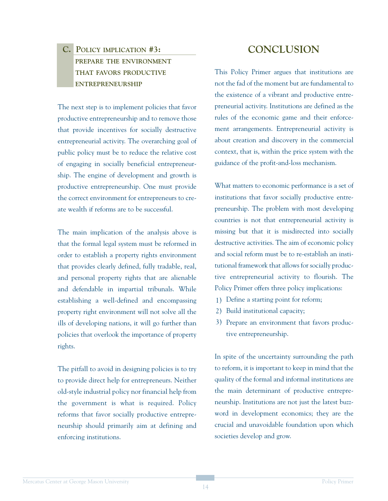# **C. POLICY IMPLICATION #3: PREPARE THE ENVIRONMENT THAT FAVORS PRODUCTIVE ENTREPRENEURSHIP**

The next step is to implement policies that favor productive entrepreneurship and to remove those that provide incentives for socially destructive entrepreneurial activity. The overarching goal of public policy must be to reduce the relative cost of engaging in socially beneficial entrepreneurship. The engine of development and growth is productive entrepreneurship. One must provide the correct environment for entrepreneurs to create wealth if reforms are to be successful.

The main implication of the analysis above is that the formal legal system must be reformed in order to establish a property rights environment that provides clearly defined, fully tradable, real, and personal property rights that are alienable and defendable in impartial tribunals. While establishing a well-defined and encompassing property right environment will not solve all the ills of developing nations, it will go further than policies that overlook the importance of property rights.

The pitfall to avoid in designing policies is to try to provide direct help for entrepreneurs. Neither old-style industrial policy nor financial help from the government is what is required. Policy reforms that favor socially productive entrepreneurship should primarily aim at defining and enforcing institutions.

# **CONCLUSION**

This Policy Primer argues that institutions are not the fad of the moment but are fundamental to the existence of a vibrant and productive entrepreneurial activity. Institutions are defined as the rules of the economic game and their enforcement arrangements. Entrepreneurial activity is about creation and discovery in the commercial context, that is, within the price system with the guidance of the profit-and-loss mechanism.

What matters to economic performance is a set of institutions that favor socially productive entrepreneurship. The problem with most developing countries is not that entrepreneurial activity is missing but that it is misdirected into socially destructive activities. The aim of economic policy and social reform must be to re-establish an institutional framework that allows for socially productive entrepreneurial activity to flourish. The Policy Primer offers three policy implications:

- Define a starting point for reform; 1)
- 2) Build institutional capacity;
- 3) Prepare an environment that favors productive entrepreneurship.

In spite of the uncertainty surrounding the path to reform, it is important to keep in mind that the quality of the formal and informal institutions are the main determinant of productive entrepreneurship. Institutions are not just the latest buzzword in development economics; they are the crucial and unavoidable foundation upon which societies develop and grow.